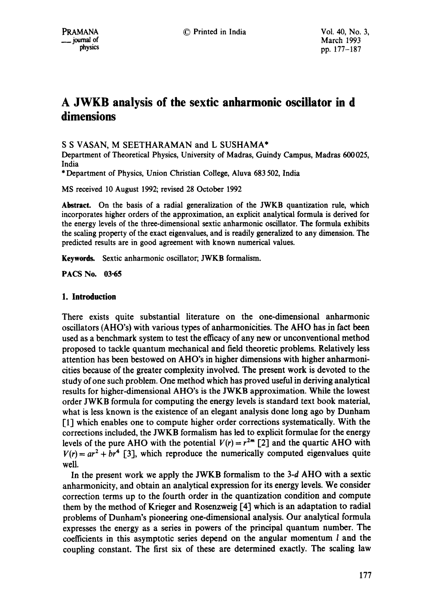# **A JWKB analysis of the sextic anharmonic oscillator in d dimensions**

# S S VASAN, M SEETHARAMAN and L SUSHAMA\*

Department of Theoretical Physics, University of Madras, Guindy Campus, Madras 600025, India

\* Department of Physics, Union Christian College, Aluva 683 502, India

MS received 10 August 1992; revised 28 October 1992

**Abstract.** On the basis of a radial generalization of the JWKB quantization rule, which incorporates higher orders of the approximation, an explicit analytical formula is derived for the energy levels of the three-dimensional sextic anharmonic oscillator. The formula exhibits the scaling property of the exact eigenvalues, and is readily generalized to any dimension. The predicted results are in good agreement with known numerical values.

Keywords. Sextic anharmonic oscillator; JWKB formalism.

**PACS No. 03-65** 

# **1. Introduction**

There exists quite substantial literature on the one-dimensional anharmonic oscillators (AHO's) with various types of anharmonicities. The AHO has jn fact been used as a benchmark system to test the efficacy of any new or unconventional method proposed to tackle quantum mechanical and field theoretic problems. Relatively less attention has been bestowed on AHO's in higher dimensions with higher anharmonicities because of the greater complexity involved. The present work is devoted to the study of one such problem. One method which has proved useful in deriving analytical results for higher-dimensional AHO's is the JWKB approximation. While the lowest order JWKB formula for computing the energy levels is standard text book material, what is less known is the existence of an elegant analysis done long ago by Dunham [1] which enables one to compute higher order corrections systematically. With the corrections included, the JWKB formalism has led to explicit formulae for the energy levels of the pure AHO with the potential  $V(r) = r^{2m}$  [2] and the quartic AHO with  $V(r) = ar^2 + br^4$  [3], which reproduce the numerically computed eigenvalues quite well.

In the present work we apply the JWKB formalism to the 3-d AHO with a sextic anharmonicity, and obtain an analytical expression for its energy levels. We consider correction terms up to the fourth order in the quantization condition and compute them by the method of Krieger and Rosenzweig [4] which is an adaptation to radial problems of Dunham's pioneering one-dimensional analysis. Our analytical formula expresses the energy as a series in powers of the principal quantum number. The coefficients in this asymptotic series depend on the angular momentum 1 and the coupling constant. The first six of these are determined exactly. The scaling law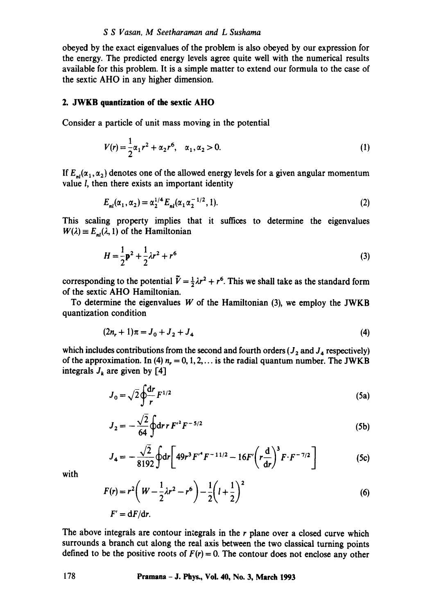obeyed by the exact eigenvalues of the problem is also obeyed by our expression for the energy. The predicted energy levels agree quite well with the numerical results available for this problem. It is a simple matter to extend our formula to the case of the sextic AHO in any higher dimension.

### **2. JWKB quantization of the sextic AHO**

Consider a particle of unit mass moving in the potential

$$
V(r) = \frac{1}{2}\alpha_1 r^2 + \alpha_2 r^6, \quad \alpha_1, \alpha_2 > 0.
$$
 (1)

If  $E_{nl}(\alpha_1, \alpha_2)$  denotes one of the allowed energy levels for a given angular momentum value l, then there exists an important identity

$$
E_{nl}(\alpha_1, \alpha_2) = \alpha_2^{1/4} E_{nl}(\alpha_1 \alpha_2^{-1/2}, 1). \tag{2}
$$

This scaling property implies that it suffices to determine the eigenvalues  $W(\lambda) \equiv E_{nl}(\lambda, 1)$  of the Hamiltonian

$$
H = \frac{1}{2}\mathbf{p}^2 + \frac{1}{2}\lambda r^2 + r^6
$$
 (3)

corresponding to the potential  $\tilde{V} = \frac{1}{2}\lambda r^2 + r^6$ . This we shall take as the standard form of the sextic AHO Hamiltonian.

To determine the eigenvalues  $W$  of the Hamiltonian (3), we employ the JWKB quantization condition

$$
(2n_r + 1)\pi = J_0 + J_2 + J_4 \tag{4}
$$

which includes contributions from the second and fourth orders ( $J_2$  and  $J_4$  respectively) of the approximation. In (4)  $n_r = 0, 1, 2, \ldots$  is the radial quantum number. The JWKB integrals  $J_k$  are given by [4]

$$
J_0 = \sqrt{2} \oint_{\mathbf{r}}^{\mathbf{dr}} F^{1/2}
$$
 (5a)

$$
J_2 = -\frac{\sqrt{2}}{64} \oint dr \, r \, F'^2 F^{-5/2} \tag{5b}
$$

$$
J_4 = -\frac{\sqrt{2}}{8192} \oint dr \left[ 49r^3 F'^4 F^{-11/2} - 16F' \left( r \frac{d}{dr} \right)^3 F \cdot F^{-7/2} \right]
$$
 (5c)

with

$$
F(r) = r^{2} \left( W - \frac{1}{2} \lambda r^{2} - r^{6} \right) - \frac{1}{2} \left( l + \frac{1}{2} \right)^{2}
$$
  
(6)  

$$
F' = dF/dr.
$$

The above integrals are contour integrals in the  $r$  plane over a closed curve which surrounds a branch cut along the real axis between the two classical turning points defined to be the positive roots of  $F(r) = 0$ . The contour does not enclose any other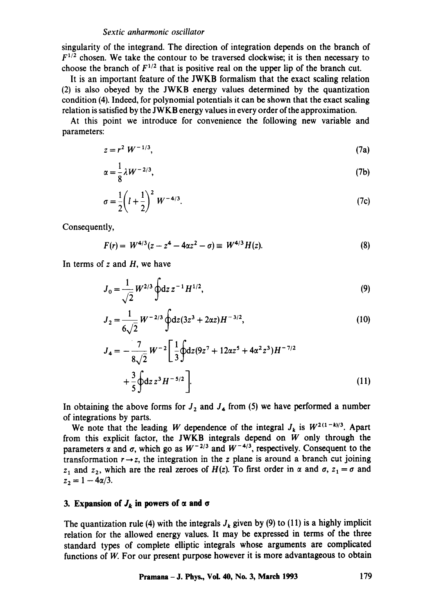singularity of the integrand. The direction of integration depends on the branch of  $F^{1/2}$  chosen. We take the contour to be traversed clockwise; it is then necessary to choose the branch of  $F^{1/2}$  that is positive real on the upper lip of the branch cut.

It is an important feature of the JWKB formalism that the exact scaling relation (2) is also obeyed by the JWKB energy values determined by the quantization condition (4). Indeed, for polynomial potentials it can be shown that the exact scaling relation is satisfied by the JWKB energy values in every order of the approximation.

At this point we introduce for convenience the following new variable and parameters:

$$
z = r^2 W^{-1/3},
$$
 (7a)

$$
\alpha = \frac{1}{8} \lambda W^{-2/3},\tag{7b}
$$

$$
\sigma = \frac{1}{2} \left( l + \frac{1}{2} \right)^2 W^{-4/3}.
$$
 (7c)

Consequently,

$$
F(r) = W^{4/3}(z - z^4 - 4\alpha z^2 - \sigma) \equiv W^{4/3}H(z). \tag{8}
$$

In terms of  $z$  and  $H$ , we have

$$
J_0 = \frac{1}{\sqrt{2}} W^{2/3} \oint dz \, z^{-1} H^{1/2},\tag{9}
$$

$$
J_2 = \frac{1}{6\sqrt{2}} W^{-2/3} \oint dz (3z^3 + 2\alpha z) H^{-3/2},
$$
 (10)

$$
J_4 = -\frac{7}{8\sqrt{2}} W^{-2} \left[ \frac{1}{3} \oint dz (9z^7 + 12\alpha z^5 + 4\alpha^2 z^3) H^{-7/2} + \frac{3}{5} \oint dz z^3 H^{-5/2} \right].
$$
 (11)

In obtaining the above forms for  $J_2$  and  $J_4$  from (5) we have performed a number of integrations by parts.

We note that the leading W dependence of the integral  $J_k$  is  $W^{2(1-k)/3}$ . Apart from this explicit factor, the JWKB integrals depend on  $\ddot{W}$  only through the parameters  $\alpha$  and  $\sigma$ , which go as  $W^{-2/3}$  and  $W^{-4/3}$ , respectively. Consequent to the transformation  $r \rightarrow z$ , the integration in the z plane is around a branch cut joining  $z_1$  and  $z_2$ , which are the real zeroes of  $H(z)$ . To first order in  $\alpha$  and  $\sigma$ ,  $z_1 = \sigma$  and  $z_2 = 1 - 4\alpha/3$ .

# **3. Expansion of**  $J_k$  **in powers of**  $\alpha$  **and**  $\sigma$

The quantization rule (4) with the integrals  $J_k$  given by (9) to (11) is a highly implicit relation for the allowed energy values. It may be expressed in terms of the three standard types of complete elliptic integrals whose arguments are complicated functions of W. For our present purpose however it is more advantageous to obtain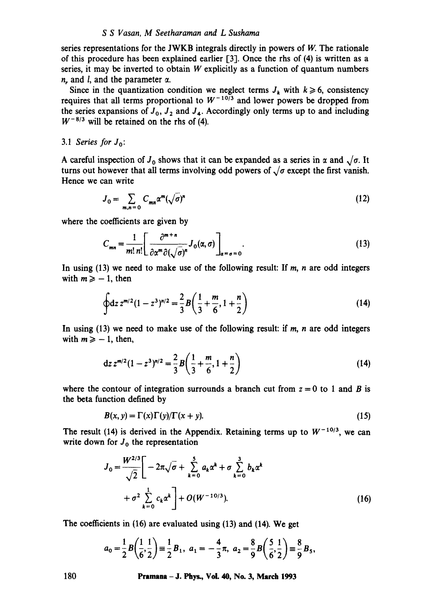#### *S S Vasan, M Seethararnan and L Sushama*

series representations for the JWKB integrals directly in powers of W. The rationale of this procedure has been explained earlier [3]. Once the rhs of (4) is written as a series, it may be inverted to obtain  $W$  explicitly as a function of quantum numbers  $n_r$ , and  $l$ , and the parameter  $\alpha$ .

Since in the quantization condition we neglect terms  $J_k$  with  $k \ge 6$ , consistency requires that all terms proportional to  $W^{-10/3}$  and lower powers be dropped from the series expansions of  $J_0$ ,  $J_2$  and  $J_4$ . Accordingly only terms up to and including  $W^{-8/3}$  will be retained on the rhs of (4).

### *3.1 Series for Jo:*

A careful inspection of  $J_0$  shows that it can be expanded as a series in  $\alpha$  and  $\sqrt{\sigma}$ . It turns out however that all terms involving odd powers of  $\sqrt{\sigma}$  except the first vanish. Hence we can write

$$
J_0 = \sum_{m,n=0} C_{mn} \alpha^m (\sqrt{\sigma})^n
$$
 (12)

where the coefficients are given by

$$
C_{mn} = \frac{1}{m! \, n!} \left[ \frac{\partial^{m+n}}{\partial \alpha^m \partial (\sqrt{\sigma})^n} J_0(\alpha, \sigma) \right]_{\alpha = \sigma = 0} . \tag{13}
$$

In using  $(13)$  we need to make use of the following result: If m, n are odd integers with  $m \geq -1$ , then

$$
\oint dz \, z^{m/2} (1 - z^3)^{n/2} = \frac{2}{3} B\left(\frac{1}{3} + \frac{m}{6}, 1 + \frac{n}{2}\right) \tag{14}
$$

In using  $(13)$  we need to make use of the following result: if m, n are odd integers with  $m \ge -1$ , then,

$$
dz z^{m/2} (1 - z^3)^{n/2} = \frac{2}{3} B \left( \frac{1}{3} + \frac{m}{6}, 1 + \frac{n}{2} \right)
$$
 (14)

where the contour of integration surrounds a branch cut from  $z = 0$  to 1 and B is the beta function defined by

$$
B(x, y) = \Gamma(x)\Gamma(y)/\Gamma(x + y). \tag{15}
$$

The result (14) is derived in the Appendix. Retaining terms up to  $W^{-10/3}$ , we can write down for  $J_0$  the representation

$$
J_0 = \frac{W^{2/3}}{\sqrt{2}} \left[ -2\pi \sqrt{\sigma} + \sum_{k=0}^5 a_k \alpha^k + \sigma \sum_{k=0}^3 b_k \alpha^k + \sigma^2 \sum_{k=0}^1 c_k \alpha^k \right] + O(W^{-10/3}).
$$
 (16)

The coefficients in (16) are evaluated using (13) and (14). We get

$$
a_0 = \frac{1}{2}B\left(\frac{1}{6},\frac{1}{2}\right) \equiv \frac{1}{2}B_1, \ a_1 = -\frac{4}{3}\pi, \ a_2 = \frac{8}{9}B\left(\frac{5}{6},\frac{1}{2}\right) \equiv \frac{8}{9}B_5,
$$

**180 Pramana - J. Phys., VoL 40, No. 3, March 1993**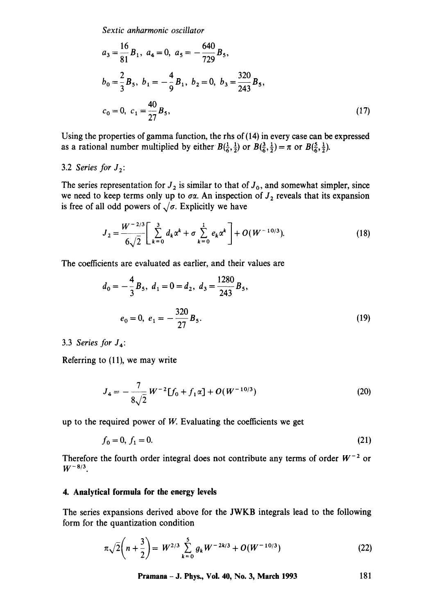$$
a_3 = \frac{16}{81}B_1, \ a_4 = 0, \ a_5 = -\frac{640}{729}B_5,
$$
  
\n
$$
b_0 = \frac{2}{3}B_5, \ b_1 = -\frac{4}{9}B_1, \ b_2 = 0, \ b_3 = \frac{320}{243}B_5,
$$
  
\n
$$
c_0 = 0, \ c_1 = \frac{40}{27}B_5,
$$
\n(17)

Using the properties of gamma function, the rhs of (14) in every case can be expressed as a rational number multiplied by either  $B(\frac{1}{6}, \frac{1}{2})$  or  $B(\frac{3}{6}, \frac{1}{2}) = \pi$  or  $B(\frac{5}{6}, \frac{1}{2})$ .

# 3.2 *Series for*  $J_2$ :

The series representation for  $J_2$  is similar to that of  $J_0$ , and somewhat simpler, since we need to keep terms only up to  $\sigma\alpha$ . An inspection of  $J_2$  reveals that its expansion is free of all odd powers of  $\sqrt{\sigma}$ . Explicitly we have

$$
J_2 = \frac{W^{-2/3}}{6\sqrt{2}} \left[ \sum_{k=0}^3 d_k \alpha^k + \sigma \sum_{k=0}^1 e_k \alpha^k \right] + O(W^{-10/3}).
$$
 (18)

The coefficients are evaluated as earlier, and their values are

$$
d_0 = -\frac{4}{3}B_5, \ d_1 = 0 = d_2, \ d_3 = \frac{1280}{243}B_5,
$$
  

$$
e_0 = 0, \ e_1 = -\frac{320}{27}B_5.
$$
 (19)

3.3 *Series for J4:* 

Referring to (11), we may write

$$
J_4 = -\frac{7}{8\sqrt{2}} W^{-2} [f_0 + f_1 \alpha] + O(W^{-10/3})
$$
 (20)

up to the required power of  $W$ . Evaluating the coefficients we get

$$
f_0 = 0, f_1 = 0. \tag{21}
$$

Therefore the fourth order integral does not contribute any terms of order  $W^{-2}$  or  $W^{-8/3}$ .

## **4. Analytical formula for the energy levels**

The series expansions derived above for the JWKB integrals lead to the following form for the quantization condition

$$
\pi\sqrt{2}\left(n+\frac{3}{2}\right) = W^{2/3}\sum_{k=0}^{5} g_k W^{-2k/3} + O(W^{-10/3})
$$
\n(22)

**Pramana - J. Phys., Vol. 40, No. 3, March 1993** 181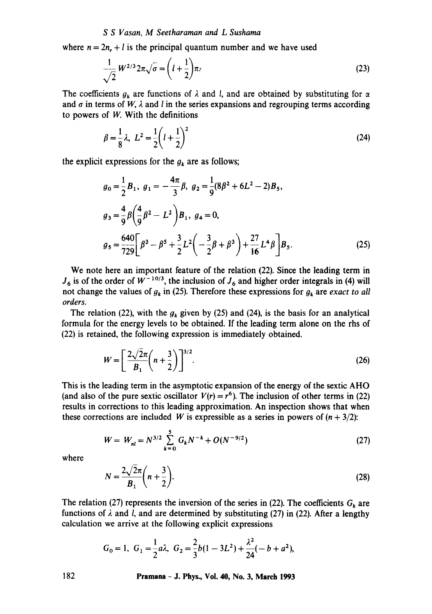### *S S Vasan, M Seetharaman and L Sushama*

where  $n = 2n + l$  is the principal quantum number and we have used

$$
\frac{1}{\sqrt{2}}W^{2/3}2\pi\sqrt{\sigma}=\left(l+\frac{1}{2}\right)\pi.
$$
\n(23)

The coefficients  $g_k$  are functions of  $\lambda$  and l, and are obtained by substituting for  $\alpha$ and  $\sigma$  in terms of *W*,  $\lambda$  and *l* in the series expansions and regrouping terms according to powers of W. With the definitions

$$
\beta = \frac{1}{8}\lambda, \ L^2 = \frac{1}{2}\left(l + \frac{1}{2}\right)^2 \tag{24}
$$

the explicit expressions for the  $g_k$  are as follows;

$$
g_0 = \frac{1}{2} B_1, \ g_1 = -\frac{4\pi}{3} \beta, \ g_2 = \frac{1}{9} (8\beta^2 + 6L^2 - 2) B_5,
$$
  

$$
g_3 = \frac{4}{9} \beta \left( \frac{4}{9} \beta^2 - L^2 \right) B_1, \ g_4 = 0,
$$
  

$$
g_5 = \frac{640}{729} \left[ \beta^3 - \beta^5 + \frac{3}{2} L^2 \left( -\frac{3}{2} \beta + \beta^3 \right) + \frac{27}{16} L^4 \beta \right] B_5.
$$
 (25)

We note here an important feature of the relation (22). Since the leading term in  $J_6$  is of the order of  $W^{-10/3}$ , the inclusion of  $J_6$  and higher order integrals in (4) will not change the values of  $g_k$  in (25). Therefore these expressions for  $g_k$  are *exact to all orders.* 

The relation (22), with the  $g_k$  given by (25) and (24), is the basis for an analytical formula for the energy levels to be obtained. If the leading term alone on the rhs of (22) is retained, the following expression is immediately obtained.

$$
W = \left[\frac{2\sqrt{2}\pi}{B_1}\left(n+\frac{3}{2}\right)\right]^{3/2}.\tag{26}
$$

This is the leading term in the asymptotic expansion of the energy of the sextic AHO (and also of the pure sextic oscillator  $V(r) = r^6$ ). The inclusion of other terms in (22) results in corrections to this leading approximation. An inspection shows that when these corrections are included W is expressible as a series in powers of  $(n + 3/2)$ :

$$
W = W_{nl} = N^{3/2} \sum_{k=0}^{5} G_k N^{-k} + O(N^{-9/2})
$$
 (27)

where

$$
N = \frac{2\sqrt{2}\pi}{B_1}\left(n + \frac{3}{2}\right).
$$
 (28)

The relation (27) represents the inversion of the series in (22). The coefficients  $G_k$  are functions of  $\lambda$  and l, and are determined by substituting (27) in (22). After a lengthy calculation we arrive at the following explicit expressions

$$
G_0 = 1, G_1 = \frac{1}{2}a\lambda, G_2 = \frac{2}{3}b(1 - 3L^2) + \frac{\lambda^2}{24}(-b + a^2),
$$

**182 Pramana - J. Phys., Vol. 40, No. 3, March 1993**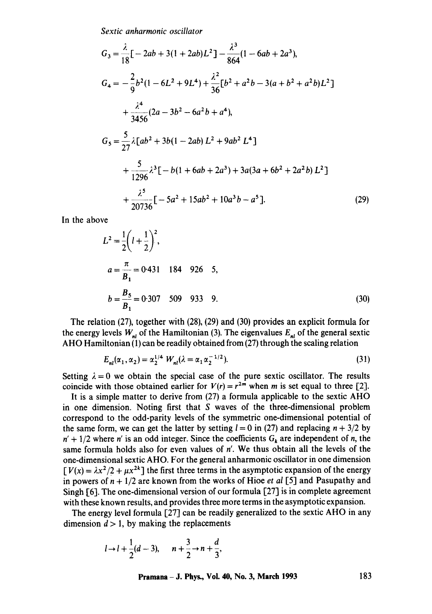$$
G_3 = \frac{\lambda}{18} \left[ -2ab + 3(1 + 2ab)L^2 \right] - \frac{\lambda^3}{864} (1 - 6ab + 2a^3),
$$
  
\n
$$
G_4 = -\frac{2}{9} b^2 (1 - 6L^2 + 9L^4) + \frac{\lambda^2}{36} \left[ b^2 + a^2 b - 3(a + b^2 + a^2 b)L^2 \right]
$$
  
\n
$$
+ \frac{\lambda^4}{3456} (2a - 3b^2 - 6a^2 b + a^4),
$$
  
\n
$$
G_5 = \frac{5}{27} \lambda \left[ ab^2 + 3b(1 - 2ab)L^2 + 9ab^2 L^4 \right]
$$
  
\n
$$
+ \frac{5}{1296} \lambda^3 \left[ -b(1 + 6ab + 2a^3) + 3a(3a + 6b^2 + 2a^2 b) L^2 \right]
$$
  
\n
$$
+ \frac{\lambda^5}{20736} \left[ -5a^2 + 15ab^2 + 10a^3b - a^5 \right].
$$
 (29)

In the above

$$
L^{2} = \frac{1}{2} \left( l + \frac{1}{2} \right)^{2},
$$
  
\n
$$
a = \frac{\pi}{B_{1}} = 0.431 \quad 184 \quad 926 \quad 5,
$$
  
\n
$$
b = \frac{B_{5}}{B_{1}} = 0.307 \quad 509 \quad 933 \quad 9.
$$
  
\n(30)

The relation (27), together with (28), (29) and (30) provides an explicit formula for the energy levels  $W_{nl}$  of the Hamiltonian (3). The eigenvalues  $E_{nl}$  of the general sextic AHO Hamiltonian (1) can be readily obtained from (27) through the scaling relation

$$
E_{nl}(\alpha_1, \alpha_2) = \alpha_2^{1/4} W_{nl}(\lambda = \alpha_1 \alpha_2^{-1/2}).
$$
\n(31)

Setting  $\lambda = 0$  we obtain the special case of the pure sextic oscillator. The results coincide with those obtained earlier for  $V(r) = r^{2m}$  when m is set equal to three [2].

It is a simple matter to derive from (27) a formula applicable to the sextic AHO in one dimension. Noting first that S waves of the three-dimensional problem correspond to the odd-parity levels of the symmetric one-dimensional potential of the same form, we can get the latter by setting  $l = 0$  in (27) and replacing  $n + 3/2$  by  $n' + 1/2$  where n' is an odd integer. Since the coefficients  $G_k$  are independent of n, the same formula holds also for even values of n'. We thus obtain all the levels of the one-dimensional sextic AHO. For the general anharmonic oscillator in one dimension  $[V(x) = \lambda x^2/2 + \mu x^{2k}]$  the first three terms in the asymptotic expansion of the energy in powers of  $n + \frac{1}{2}$  are known from the works of Hioe *et al* [5] and Pasupathy and Singh [6]. The one-dimensional version of our formula [27] is in complete agreement with these known results, and provides three more terms in the asymptotic expansion.

The energy level formula [27] can be readily generalized to the sextic AHO in any dimension  $d > 1$ , by making the replacements

$$
l \rightarrow l + \frac{1}{2}(d-3),
$$
  $n + \frac{3}{2} \rightarrow n + \frac{d}{3},$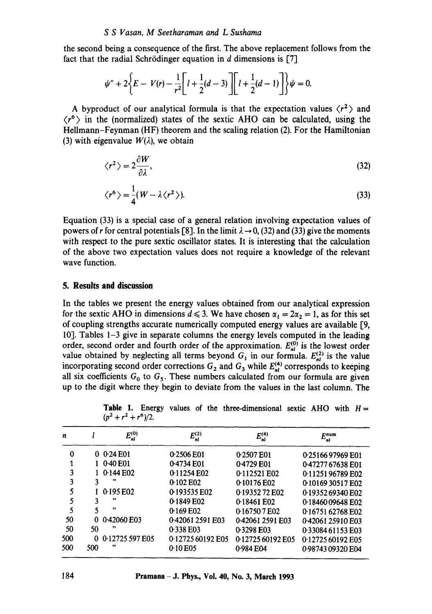the second being a consequence of the first. The above replacement follows from the fact that the radial Schrödinger equation in  $d$  dimensions is [7]

$$
\psi'' + 2\bigg\{E - V(r) - \frac{1}{r^2} \bigg[ l + \frac{1}{2}(d-3) \bigg] \bigg[ l + \frac{1}{2}(d-1) \bigg] \bigg\} \psi = 0.
$$

A byproduct of our analytical formula is that the expectation values  $\langle r^2 \rangle$  and  $\langle r^6 \rangle$  in the (normalized) states of the sextic AHO can be calculated, using the Hellmann-Feynman (HF) theorem and the scaling relation (2). For the Hamiltonian (3) with eigenvalue  $W(\lambda)$ , we obtain

$$
\langle r^2 \rangle = 2 \frac{\partial W}{\partial \lambda},\tag{32}
$$

$$
\langle r^6 \rangle = \frac{1}{4} (W - \lambda \langle r^2 \rangle). \tag{33}
$$

Equation (33) is a special case of a general relation involving expectation values of powers of r for central potentials [8]. In the limit  $\lambda \rightarrow 0$ , (32) and (33) give the moments with respect to the pure sextic oscillator states. It is interesting that the calculation of the above two expectation values does not require a knowledge of the relevant wave function.

# **5. Results and discussion**

In the tables we present the energy values obtained from our analytical expression for the sextic AHO in dimensions  $d \le 3$ . We have chosen  $\alpha_1 = 2\alpha_2 = 1$ , as for this set of coupling strengths accurate numerically computed energy values are available 19, 10]. Tables  $1-3$  give in separate columns the energy levels computed in the leading order, second order and fourth order of the approximation.  $E_{nl}^{(0)}$  is the lowest order value obtained by neglecting all terms beyond  $G_1$  in our formula.  $E_{nl}^{(2)}$  is the value incorporating second order corrections  $G_2$  and  $G_3$  while  $E_{nl}^{(4)}$  corresponds to keeping all six coefficients  $G_0$  to  $G_5$ . These numbers calculated from our formula are given up to the digit where they begin to deviate from the values in the last column. The

| n   |     | $E_{nl}^{(0)}$  | $E_{nl}^{(2)}$    | $E_{nl}^{(4)}$    | $E_{nl}^{num}$    |
|-----|-----|-----------------|-------------------|-------------------|-------------------|
| 0   | 0   | 0.24 E01        | 0.2506 E01        | 0.2507 E01        | 0.2516697969 E01  |
|     |     | 0.40 E01        | 0.4734 E01        | 0.4729 E01        | 0.47277 67638 E01 |
| 3   |     | 0.144E02        | 0.11254 E02       | 0.112521 E02      | 0.1125196789 E02  |
| 3   |     |                 | 0.102 E02         | 0.10176 E02       | 0.1016930517E02   |
|     |     | 0.195 E02       | 0.193535 E02      | 0.1935272 E02     | 0.1935269340 E02  |
|     |     | ,,              | 0.1849 E02        | $0.18461$ E02     | 0.1846009648 E02  |
| 5   |     | ,,              | 0.169 E02         | 0.167507E02       | 0.16751 62768 E02 |
| 50  | o   | 0-42060 E03     | 0.42061 2591 E03  | 0.42061 2591 E03  | 0.42061 25910 E03 |
| 50  | 50  | , 2             | 0.338 E03         | 0.3298 E03        | 0.33084 61153 E03 |
| 500 | Ω   | 0.12725 597 E05 | 0.12725 60192 E05 | 0.12725 60192 E05 | 0.12725 60192 E05 |
| 500 | 500 | 99              | 0.10 E05          | 0.984 E04         | 0.98743 09320 E04 |

**Table** 1. Energy values of the three-dimensional sextic AHO with *H=*   $(p^2 + r^2 + r^6)/2$ .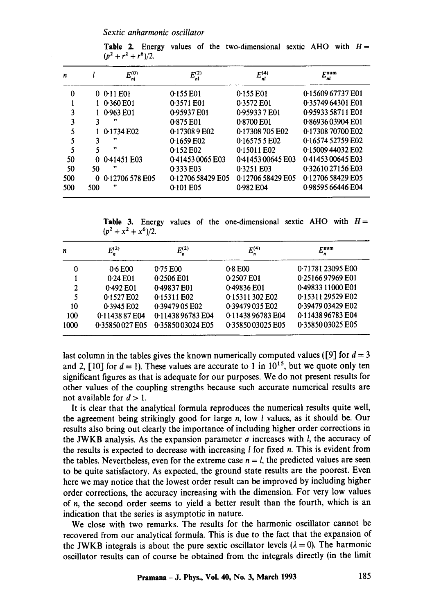**Table 2.** Energy values of the two-dimensional sextic AHO with  $H=$  $(p^2 + r^2 + r^6)/2$ .

| n   |     | $E_{nl}^{(0)}$  | $E_{nl}^{(2)}$    | $E_{nl}^{(4)}$    | $E_{nl}^{num}$    |
|-----|-----|-----------------|-------------------|-------------------|-------------------|
| 0   |     | 0 0 11 E01      | 0.155 E01         | 0.155 E01         | 0.15609 67737 E01 |
|     |     | 1 0.360 E01     | 0.3571 E01        | 0.3572 E01        | 0.35749 64301 E01 |
| 3   |     | 0.963 E01       | 0.95937 E01       | 0.959337E01       | 0.95933 58711 E01 |
| 3   | 3   |                 | 0.875 E01         | 0.8700 E01        | 0.8693603904 E01  |
| 5   |     | 0.1734 E02      | 0.173089 E02      | 0-17308 705 E02   | 0.17308 70700 E02 |
| 5   |     | 33              | 0.1659 E02        | 0.165755E02       | 0.16574 52759 E02 |
| 5   |     | $^{\bullet}$    | 0.152 E02         | 0.15011 E02       | 0.1500944032 E02  |
| 50  | 0   | 0.41451 E03     | 0.41453 0065 E03  | 0.41453 00645 E03 | 0.4145300645E03   |
| 50  | 50  | ,,              | 0.333 E03         | 0.3251 E03        | 0.32610 27156 E03 |
| 500 | 0   | 0.12706 578 E05 | 0.12706 58429 E05 | 0.12706 58429 E05 | 0.12706 58429 E05 |
| 500 | 500 | .,              | 0.101 E05         | 0.982 E04         | 0.98595 66446 E04 |

**Table 3.** Energy values of the one-dimensional sextic AHO with  $H=$  $(p^2 + x^2 + x^6)/2$ .

| n    | $E_{n}^{(2)}$  | $E_n^{(2)}$      | $E_n^{(4)}$      | $E_n^{\rm num}$   |
|------|----------------|------------------|------------------|-------------------|
| 0    | 0.6 E00        | 0.75 E00         | 0.8 E00          | 0.71781 23095 E00 |
|      | 0.24 E01       | 0.2506 E01       | 0.2507 E01       | 0.2516697969 E01  |
| 2    | 0.492 E01      | 0.49837 E01      | 0.49836 E01      | 0.49833 11000 E01 |
| 5    | 0.1527 E02     | 0.15311 E02      | 0.15311302E02    | 0.15311 29529 E02 |
| 10   | 0.3945 E02     | 0.39479 05 E02   | 0.39479 035 E02  | 0.39479 03429 E02 |
| 100  | 0.1143887E04   | 0.1143896783E04  | 0.1143896783E04  | 0-11438 96783 E04 |
| 1000 | 0.35850027 E05 | 0.3585003024 E05 | 0.3585003025 E05 | 0.3585003025 E05  |

last column in the tables gives the known numerically computed values ([9] for  $d = 3$ and 2, [10] for  $d = 1$ ). These values are accurate to 1 in 10<sup>15</sup>, but we quote only ten significant figures as that is adequate for our purposes. We do not present results for other values of the coupling strengths because such accurate numerical results are not available for  $d > 1$ .

It is clear that the analytical formula reproduces the numerical results quite well, the agreement being strikingly good for large n, low l values, as it should be. Our results also bring out clearly the importance of including higher order corrections in the JWKB analysis. As the expansion parameter  $\sigma$  increases with l, the accuracy of the results is expected to decrease with increasing  $l$  for fixed n. This is evident from the tables. Nevertheless, even for the extreme case  $n = l$ , the predicted values are seen to be quite satisfactory. As expected, the ground state results are the poorest. Even here we may notice that the lowest order result can be improved by including higher order corrections, the accuracy increasing with the dimension. For very low values of n, the second order seems to yield a better result than the fourth, which is an indication that the series is asymptotic in nature.

We close with two remarks. The results for the harmonic oscillator cannot be recovered from our analytical formula. This is due to the fact that the expansion of the JWKB integrals is about the pure sextic oscillator levels ( $\lambda = 0$ ). The harmonic oscillator results can of course be obtained from the integrals directly (in the limit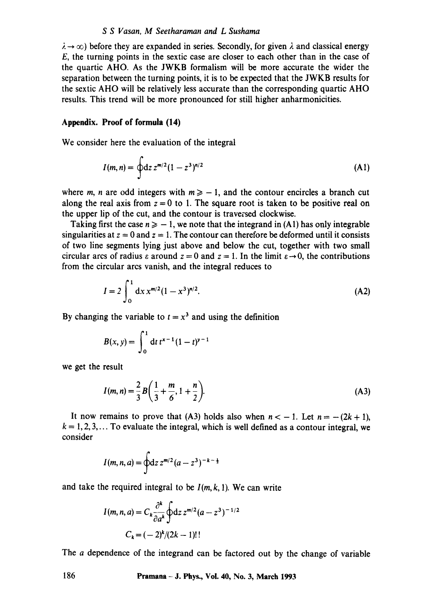#### *S S Vasan, M Seetharaman and L Sushama*

 $\lambda \rightarrow \infty$ ) before they are expanded in series. Secondly, for given  $\lambda$  and classical energy E, the turning points in the sextic case are closer to each other than in the case of the quartic AHO. As the JWKB formalism will be more accurate the wider the separation between the turning points, it is to be expected that the JWKB results for the sextic AHO will be relatively less accurate than the corresponding quartic AHO results. This trend will be more pronounced for still higher anharmonicities.

### **Appendix. Proof of formula (14)**

We consider here the evaluation of the integral

$$
I(m,n) = \oint dz \, z^{m/2} (1-z^3)^{n/2} \tag{A1}
$$

where m, n are odd integers with  $m \ge -1$ , and the contour encircles a branch cut along the real axis from  $z = 0$  to 1. The square root is taken to be positive real on the upper lip of the cut, and the contour is traversed clockwise.

Taking first the case  $n \ge -1$ , we note that the integrand in (A1) has only integrable singularities at  $z = 0$  and  $z = 1$ . The contour can therefore be deformed until it consists of two line segments lying just above and below the cut, together with two small circular arcs of radius  $\varepsilon$  around  $z = 0$  and  $z = 1$ . In the limit  $\varepsilon \to 0$ , the contributions from the circular arcs vanish, and the integral reduces to

$$
I = 2 \int_0^1 dx \, x^{m/2} (1 - x^3)^{n/2}.
$$
 (A2)

By changing the variable to  $t = x<sup>3</sup>$  and using the definition

$$
B(x, y) = \int_0^1 dt \, t^{x-1} (1-t)^{y-1}
$$

we get the result

$$
I(m,n) = \frac{2}{3}B\left(\frac{1}{3} + \frac{m}{6}, 1 + \frac{n}{2}\right).
$$
 (A3)

It now remains to prove that (A3) holds also when  $n < -1$ . Let  $n = -(2k + 1)$ ,  $k = 1, 2, 3, \ldots$  To evaluate the integral, which is well defined as a contour integral, we consider

$$
I(m, n, a) = \oint dz \, z^{m/2} (a - z^3)^{-k - \frac{1}{2}}
$$

and take the required integral to be  $I(m, k, 1)$ . We can write

$$
I(m, n, a) = C_k \frac{\partial^k}{\partial a^k} \oint dz \, z^{m/2} (a - z^3)^{-1/2}
$$

$$
C_k = (-2)^k / (2k - 1)!!
$$

The a dependence of the integrand can be factored out by the change of variable